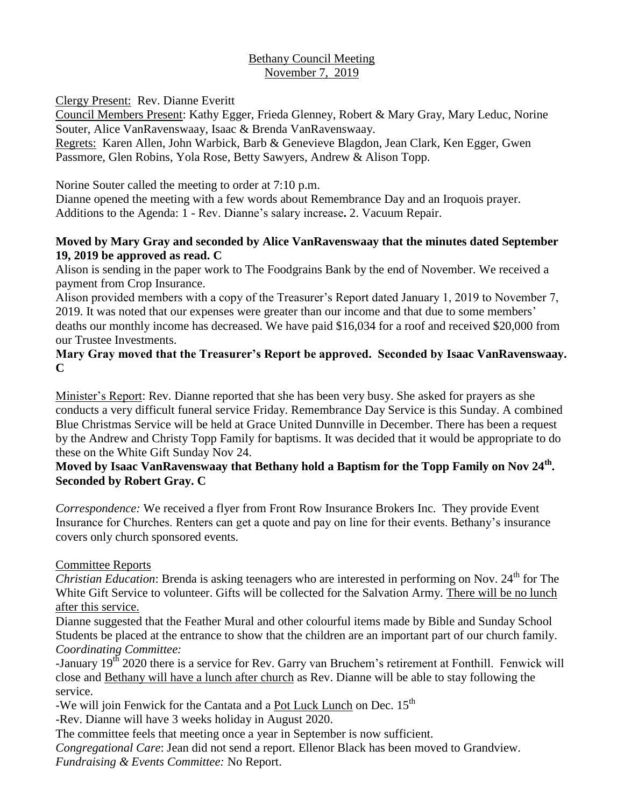# Bethany Council Meeting November 7, 2019

Clergy Present: Rev. Dianne Everitt

Council Members Present: Kathy Egger, Frieda Glenney, Robert & Mary Gray, Mary Leduc, Norine Souter, Alice VanRavenswaay, Isaac & Brenda VanRavenswaay.

Regrets: Karen Allen, John Warbick, Barb & Genevieve Blagdon, Jean Clark, Ken Egger, Gwen Passmore, Glen Robins, Yola Rose, Betty Sawyers, Andrew & Alison Topp.

Norine Souter called the meeting to order at 7:10 p.m.

Dianne opened the meeting with a few words about Remembrance Day and an Iroquois prayer. Additions to the Agenda: 1 - Rev. Dianne's salary increase**.** 2. Vacuum Repair.

# **Moved by Mary Gray and seconded by Alice VanRavenswaay that the minutes dated September 19, 2019 be approved as read. C**

Alison is sending in the paper work to The Foodgrains Bank by the end of November. We received a payment from Crop Insurance.

Alison provided members with a copy of the Treasurer's Report dated January 1, 2019 to November 7, 2019. It was noted that our expenses were greater than our income and that due to some members' deaths our monthly income has decreased. We have paid \$16,034 for a roof and received \$20,000 from our Trustee Investments.

# **Mary Gray moved that the Treasurer's Report be approved. Seconded by Isaac VanRavenswaay. C**

Minister's Report: Rev. Dianne reported that she has been very busy. She asked for prayers as she conducts a very difficult funeral service Friday. Remembrance Day Service is this Sunday. A combined Blue Christmas Service will be held at Grace United Dunnville in December. There has been a request by the Andrew and Christy Topp Family for baptisms. It was decided that it would be appropriate to do these on the White Gift Sunday Nov 24.

# **Moved by Isaac VanRavenswaay that Bethany hold a Baptism for the Topp Family on Nov 24th . Seconded by Robert Gray. C**

*Correspondence:* We received a flyer from Front Row Insurance Brokers Inc. They provide Event Insurance for Churches. Renters can get a quote and pay on line for their events. Bethany's insurance covers only church sponsored events.

# Committee Reports

*Christian Education*: Brenda is asking teenagers who are interested in performing on Nov. 24<sup>th</sup> for The White Gift Service to volunteer. Gifts will be collected for the Salvation Army. There will be no lunch after this service.

Dianne suggested that the Feather Mural and other colourful items made by Bible and Sunday School Students be placed at the entrance to show that the children are an important part of our church family. *Coordinating Committee:*

-January 19<sup>th</sup> 2020 there is a service for Rev. Garry van Bruchem's retirement at Fonthill. Fenwick will close and Bethany will have a lunch after church as Rev. Dianne will be able to stay following the service.

-We will join Fenwick for the Cantata and a  $Pot Luck Lunch on Dec. 15<sup>th</sup>$ </u>

-Rev. Dianne will have 3 weeks holiday in August 2020.

The committee feels that meeting once a year in September is now sufficient.

*Congregational Care*: Jean did not send a report. Ellenor Black has been moved to Grandview. *Fundraising & Events Committee:* No Report.